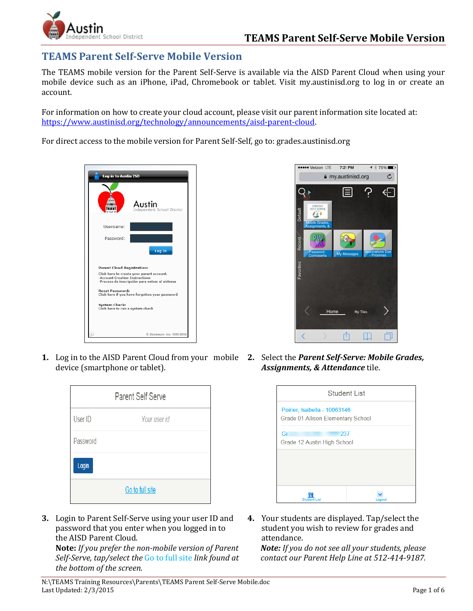

# **TEAMS Parent Self-Serve Mobile Version**

The TEAMS mobile version for the Parent Self-Serve is available via the AISD Parent Cloud when using your mobile device such as an iPhone, iPad, Chromebook or tablet. Visit my.austinisd.org to log in or create an account.

For information on how to create your cloud account, please visit our parent information site located at: [https://www.austinisd.org/technology/announcements/aisd-parent-cloud.](https://www.austinisd.org/technology/announcements/aisd-parent-cloud)

For direct access to the mobile version for Parent Self-Self, go to: grades.austinisd.org





**1.** Log in to the AISD Parent Cloud from your mobile **2.** Select the *Parent Self-Serve: Mobile Grades,*  device (smartphone or tablet).

| <b>Parent Self Serve</b> |              |  |
|--------------------------|--------------|--|
| User ID                  | Your user id |  |
| Password                 |              |  |
| Login                    |              |  |
| Go to full site          |              |  |

**3.** Login to Parent Self-Serve using your user ID and password that you enter when you logged in to the AISD Parent Cloud.

**Note:** *If you prefer the non-mobile version of Parent Self-Serve, tap/select the* Go to full site *link found at the bottom of the screen.*

*Assignments, & Attendance* tile.

| Student List                                                       |  |  |
|--------------------------------------------------------------------|--|--|
| Poirier, Isabella - 10063146<br>Grade 01 Allison Elementary School |  |  |
| Gr<br>237<br>Grade 12 Austin High School                           |  |  |
|                                                                    |  |  |
|                                                                    |  |  |
| Student List                                                       |  |  |

**4.** Your students are displayed. Tap/select the student you wish to review for grades and attendance.

*Note: If you do not see all your students, please contact our Parent Help Line at 512-414-9187.*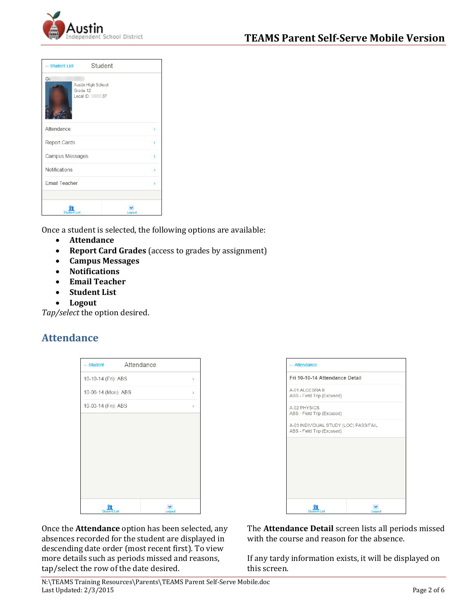

| - Student List       | Student                            |   |
|----------------------|------------------------------------|---|
| Gı<br>Grade 12       | Austin High School<br>Local ID: 37 |   |
| Attendance           |                                    | X |
| Report Cards         |                                    | Y |
| Campus Messages<br>X |                                    |   |
| Notifications        |                                    | X |
| Email Teacher        |                                    | Y |
|                      |                                    |   |
| <b>Student List</b>  | Logout                             |   |

Once a student is selected, the following options are available:

- **Attendance**
- **Report Card Grades** (access to grades by assignment)
- **Campus Messages**
- **Notifications**
- **Email Teacher**
- **Student List**
- **Logout**

*Tap/select* the option desired.

### **Attendance**

| Attendance<br>$-$ Student |                     |  |        |   |
|---------------------------|---------------------|--|--------|---|
|                           | 10-10-14 (Fri): ABS |  |        | X |
| 10-06-14 (Mon): ABS       |                     |  |        | X |
| 10-03-14 (Fri): ABS       |                     |  |        | Y |
|                           |                     |  |        |   |
|                           |                     |  |        |   |
|                           |                     |  |        |   |
|                           |                     |  |        |   |
|                           |                     |  |        |   |
|                           |                     |  |        |   |
| <b>Student List</b>       |                     |  | Logout |   |



Once the **Attendance** option has been selected, any absences recorded for the student are displayed in descending date order (most recent first). To view more details such as periods missed and reasons, tap/select the row of the date desired.

The **Attendance Detail** screen lists all periods missed with the course and reason for the absence.

If any tardy information exists, it will be displayed on this screen.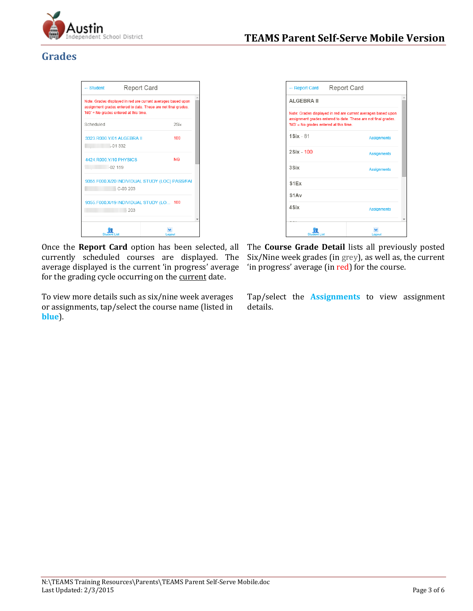

# **Grades**

|                                                              | 'NG' = No grades entered at this time. | Note: Grades displayed in red are current averages based upon<br>assignment grades entered to date. These are not final grades. |
|--------------------------------------------------------------|----------------------------------------|---------------------------------------------------------------------------------------------------------------------------------|
| Scheduled                                                    |                                        | 2Six                                                                                                                            |
| 3323.R000.Y/01 ALGEBRA II                                    | $-01.332$                              | 100                                                                                                                             |
| 4424 R000 Y/10 PHYSICS                                       | $-02159$                               | <b>NG</b>                                                                                                                       |
| 9355.F000.X/20 INDIVIDUAL STUDY (LOC) PASS/FAI<br>$C-0.3203$ |                                        |                                                                                                                                 |
| 9355.F000.X/19 INDIVIDUAL STUDY (LO 100<br>203               |                                        |                                                                                                                                 |
| Student List                                                 |                                        |                                                                                                                                 |

Once the **Report Card** option has been selected, all currently scheduled courses are displayed. The average displayed is the current 'in progress' average for the grading cycle occurring on the current date.

To view more details such as six/nine week averages or assignments, tap/select the course name (listed in **blue**).

| - Report Card   Report Card            |                                                                                                                                 |
|----------------------------------------|---------------------------------------------------------------------------------------------------------------------------------|
| <b>ALGEBRA II</b>                      |                                                                                                                                 |
| 'NG' = No grades entered at this time. | Note: Grades displayed in red are current averages based upon<br>assignment grades entered to date. These are not final grades. |
| $1$ Six - $81$                         | <b>Assignments</b>                                                                                                              |
| 2Six - 100                             | <b>Assignments</b>                                                                                                              |
| 3Six                                   | <b>Assignments</b>                                                                                                              |
| S <sub>1</sub> E <sub>x</sub>          |                                                                                                                                 |
| S <sub>1</sub> A <sub>v</sub>          |                                                                                                                                 |
| 4Six                                   | <b>Assignments</b>                                                                                                              |
| l ist                                  |                                                                                                                                 |

The **Course Grade Detail** lists all previously posted Six/Nine week grades (in grey), as well as, the current 'in progress' average (in red) for the course.

Tap/select the **Assignments** to view assignment details.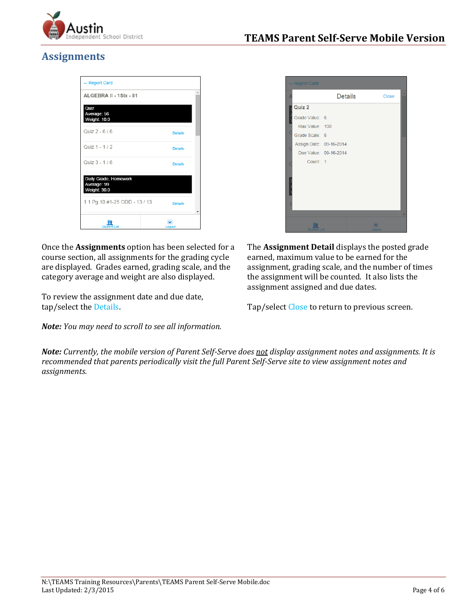

# **Assignments**

| - Report Card                                        |                |  |
|------------------------------------------------------|----------------|--|
| ALGEBRA II - 1Six - 81                               |                |  |
| Quiz<br>Average: 56<br>Weight: 10.0                  |                |  |
| Quiz 2 - 6 / 6                                       | <b>Details</b> |  |
| Quiz 1 - 1 / 2                                       | <b>Details</b> |  |
| Quiz 3 - 1 / 6                                       | <b>Details</b> |  |
| Daily Grade, Homework<br>Average: 99<br>Weight: 30.0 |                |  |
| 1.1 Pg 10 #1-25 ODD - 13 / 13<br><b>Details</b>      |                |  |
| <b>Student List</b>                                  | Logout         |  |

Once the **Assignments** option has been selected for a course section, all assignments for the grading cycle are displayed. Grades earned, grading scale, and the category average and weight are also displayed.

To review the assignment date and due date, tap/select the Details.

*Note: You may need to scroll to see all information.* 

| <b>Report Card</b>      | <b>Details</b>        | Close  |
|-------------------------|-----------------------|--------|
|                         |                       |        |
| Quiz 2                  |                       |        |
| Grade Value: 6          |                       |        |
| Max Value: 100          |                       |        |
| Grade Scale: 6          |                       |        |
| Assign Date: 09-16-2014 |                       |        |
|                         | Due Value: 09-16-2014 |        |
| Count: 1                |                       |        |
|                         |                       |        |
|                         |                       |        |
|                         |                       |        |
|                         |                       |        |
|                         |                       |        |
|                         |                       |        |
|                         |                       |        |
| Studer<br>List          |                       | Logout |

The **Assignment Detail** displays the posted grade earned, maximum value to be earned for the assignment, grading scale, and the number of times the assignment will be counted. It also lists the assignment assigned and due dates.

Tap/select Close to return to previous screen.

*Note: Currently, the mobile version of Parent Self-Serve does not display assignment notes and assignments. It is recommended that parents periodically visit the full Parent Self-Serve site to view assignment notes and assignments.*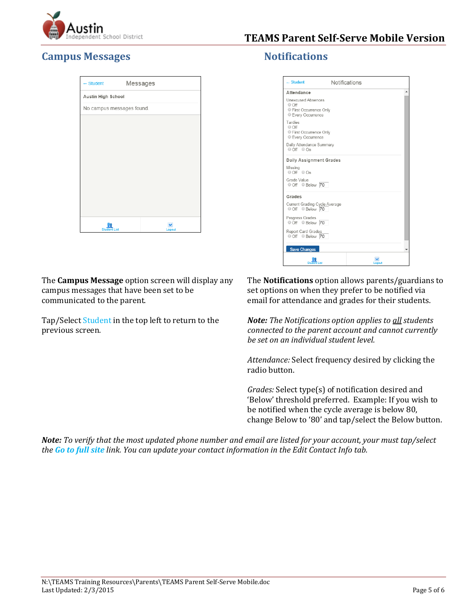

## **Campus Messages Notifications**

| - Student                 | Messages |
|---------------------------|----------|
| Austin High School        |          |
| No campus messages found. |          |
|                           |          |
|                           |          |
|                           |          |
|                           |          |
|                           |          |
|                           |          |
|                           |          |
|                           |          |
|                           |          |
| <b>Student List</b>       | Logout   |

The **Campus Message** option screen will display any campus messages that have been set to be communicated to the parent.

Tap/Select Student in the top left to return to the previous screen.

| $-$ Student                                                                                    | Notifications |
|------------------------------------------------------------------------------------------------|---------------|
| Attendance                                                                                     |               |
| <b>Unexcused Absences</b><br>$\circ$ Off<br>● First Occurrence Only<br><b>Every Occurrence</b> |               |
| Tardies<br>O Off<br>First Occurrence Only<br>Every Occurrence                                  |               |
| Daily Attendance Summary<br>$\circ$ Off $\circ$ On                                             |               |
| <b>Daily Assignment Grades</b>                                                                 |               |
| Missing<br>O Off O On                                                                          |               |
| Grade Value<br>Off © Below 70                                                                  |               |
| Grades                                                                                         |               |
| Current Grading Cycle Average<br>Off Below 70                                                  |               |
| Progress Grades<br>Off Below 70                                                                |               |
| Report Card Grades<br>Off © Below 70                                                           |               |
| <b>Save Changes</b>                                                                            |               |
| Student List                                                                                   | Logout        |

The **Notifications** option allows parents/guardians to set options on when they prefer to be notified via email for attendance and grades for their students.

*Note: The Notifications option applies to all students connected to the parent account and cannot currently be set on an individual student level.* 

*Attendance:* Select frequency desired by clicking the radio button.

*Grades:* Select type(s) of notification desired and 'Below' threshold preferred. Example: If you wish to be notified when the cycle average is below 80, change Below to '80' and tap/select the Below button.

*Note: To verify that the most updated phone number and email are listed for your account, your must tap/select the Go to full site link. You can update your contact information in the Edit Contact Info tab.*